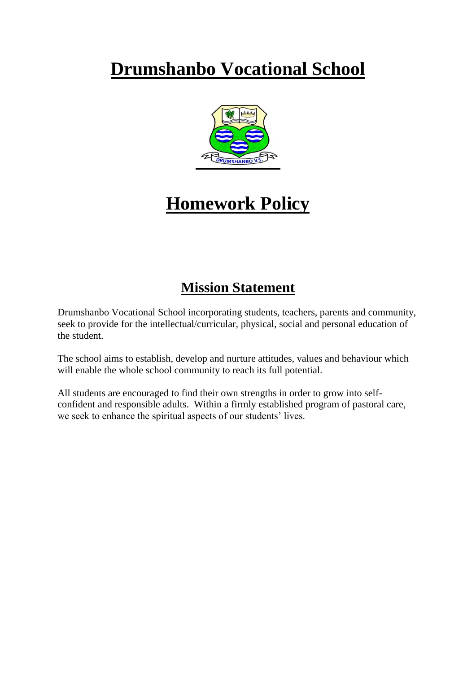# **Drumshanbo Vocational School**



## **Homework Policy**

### **Mission Statement**

Drumshanbo Vocational School incorporating students, teachers, parents and community, seek to provide for the intellectual/curricular, physical, social and personal education of the student.

The school aims to establish, develop and nurture attitudes, values and behaviour which will enable the whole school community to reach its full potential.

All students are encouraged to find their own strengths in order to grow into selfconfident and responsible adults. Within a firmly established program of pastoral care, we seek to enhance the spiritual aspects of our students' lives.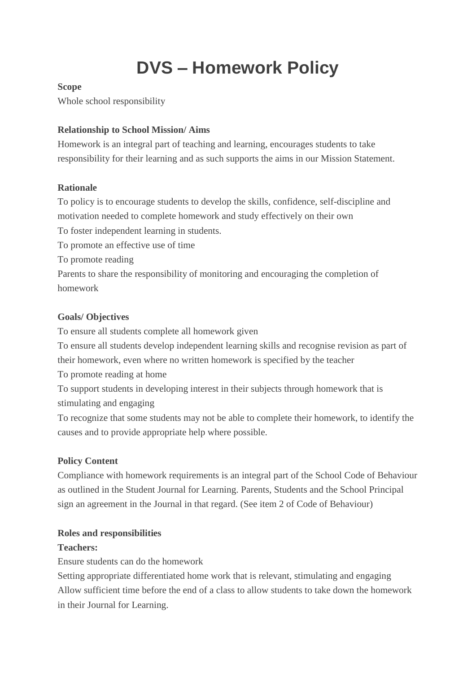# **DVS – Homework Policy**

#### **Scope**

Whole school responsibility

#### **Relationship to School Mission/ Aims**

Homework is an integral part of teaching and learning, encourages students to take responsibility for their learning and as such supports the aims in our Mission Statement.

#### **Rationale**

To policy is to encourage students to develop the skills, confidence, self-discipline and motivation needed to complete homework and study effectively on their own

To foster independent learning in students.

To promote an effective use of time

To promote reading

Parents to share the responsibility of monitoring and encouraging the completion of homework

#### **Goals/ Objectives**

To ensure all students complete all homework given

To ensure all students develop independent learning skills and recognise revision as part of their homework, even where no written homework is specified by the teacher

To promote reading at home

To support students in developing interest in their subjects through homework that is stimulating and engaging

To recognize that some students may not be able to complete their homework, to identify the causes and to provide appropriate help where possible.

#### **Policy Content**

Compliance with homework requirements is an integral part of the School Code of Behaviour as outlined in the Student Journal for Learning. Parents, Students and the School Principal sign an agreement in the Journal in that regard. (See item 2 of Code of Behaviour)

#### **Roles and responsibilities**

#### **Teachers:**

Ensure students can do the homework

Setting appropriate differentiated home work that is relevant, stimulating and engaging Allow sufficient time before the end of a class to allow students to take down the homework in their Journal for Learning.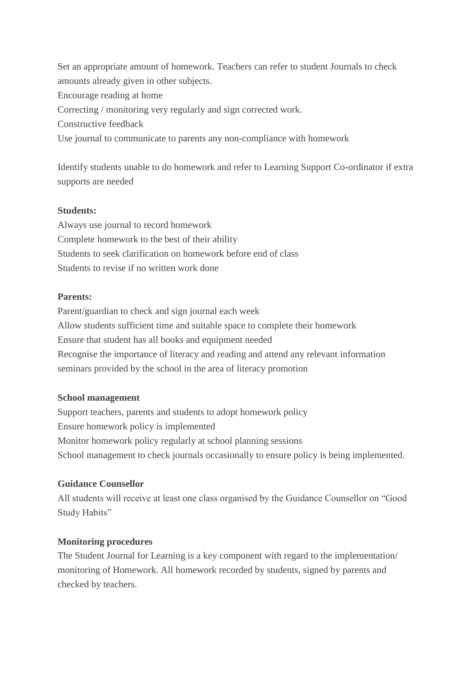Set an appropriate amount of homework. Teachers can refer to student Journals to check amounts already given in other subjects. Encourage reading at home Correcting / monitoring very regularly and sign corrected work. Constructive feedback Use journal to communicate to parents any non-compliance with homework

Identify students unable to do homework and refer to Learning Support Co-ordinator if extra supports are needed

#### **Students:**

Always use journal to record homework Complete homework to the best of their ability Students to seek clarification on homework before end of class Students to revise if no written work done

#### **Parents:**

Parent/guardian to check and sign journal each week Allow students sufficient time and suitable space to complete their homework Ensure that student has all books and equipment needed Recognise the importance of literacy and reading and attend any relevant information seminars provided by the school in the area of literacy promotion

#### **School management**

Support teachers, parents and students to adopt homework policy Ensure homework policy is implemented Monitor homework policy regularly at school planning sessions School management to check journals occasionally to ensure policy is being implemented.

#### **Guidance Counsellor**

All students will receive at least one class organised by the Guidance Counsellor on "Good Study Habits"

#### **Monitoring procedures**

The Student Journal for Learning is a key component with regard to the implementation/ monitoring of Homework. All homework recorded by students, signed by parents and checked by teachers.